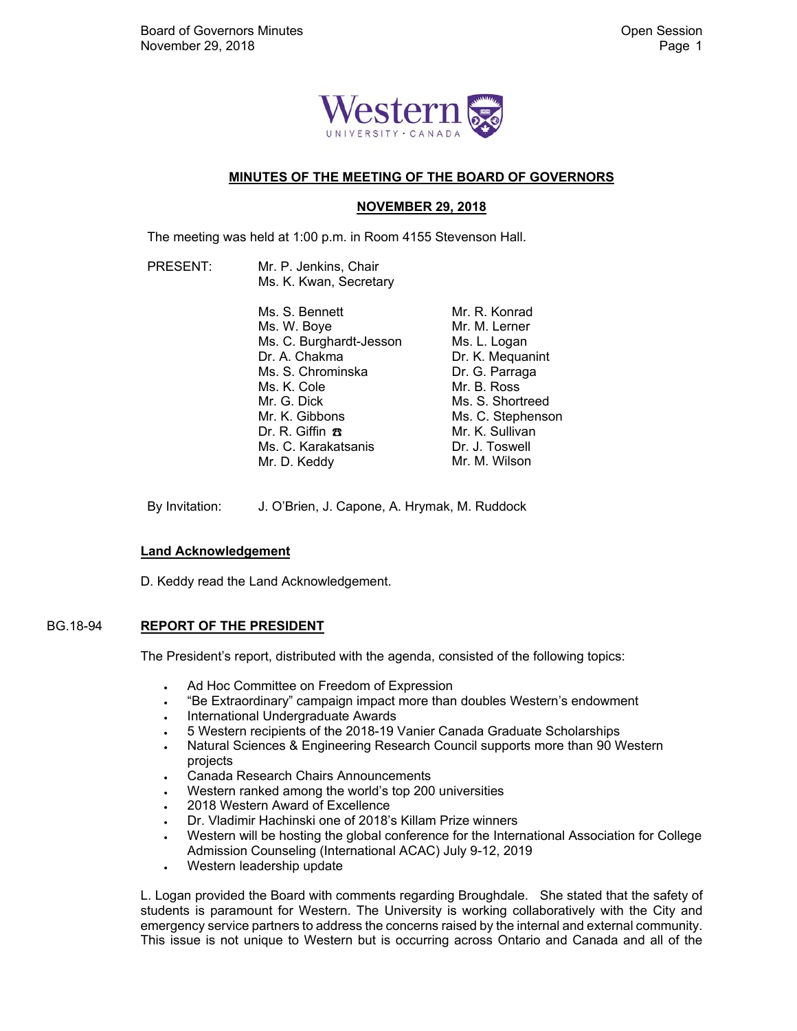

# **MINUTES OF THE MEETING OF THE BOARD OF GOVERNORS**

# **NOVEMBER 29, 2018**

The meeting was held at 1:00 p.m. in Room 4155 Stevenson Hall.

 PRESENT: Mr. P. Jenkins, Chair Ms. K. Kwan, Secretary

| Ms. S. Bennett          | Mr. R. Konrad     |
|-------------------------|-------------------|
| Ms. W. Boye             | Mr. M. Lerner     |
| Ms. C. Burghardt-Jesson | Ms. L. Logan      |
| Dr. A. Chakma           | Dr. K. Mequanint  |
| Ms. S. Chrominska       | Dr. G. Parraga    |
| Ms. K. Cole             | Mr. B. Ross       |
| Mr. G. Dick             | Ms. S. Shortreed  |
| Mr. K. Gibbons          | Ms. C. Stephenson |
| Dr. R. Giffin $\pi$     | Mr. K. Sullivan   |
| Ms. C. Karakatsanis     | Dr. J. Toswell    |
| Mr. D. Keddy            | Mr. M. Wilson     |
|                         |                   |

By Invitation: J. O'Brien, J. Capone, A. Hrymak, M. Ruddock

## **Land Acknowledgement**

D. Keddy read the Land Acknowledgement.

## BG.18-94 **REPORT OF THE PRESIDENT**

The President's report, distributed with the agenda, consisted of the following topics:

- Ad Hoc Committee on Freedom of Expression
- "Be Extraordinary" campaign impact more than doubles Western's endowment
- . International Undergraduate Awards
- 5 Western recipients of the 2018-19 Vanier Canada Graduate Scholarships
- Natural Sciences & Engineering Research Council supports more than 90 Western projects
- Canada Research Chairs Announcements
- Western ranked among the world's top 200 universities
- 2018 Western Award of Excellence
- Dr. Vladimir Hachinski one of 2018's Killam Prize winners
- Western will be hosting the global conference for the International Association for College Admission Counseling (International ACAC) July 9-12, 2019
- Western leadership update

L. Logan provided the Board with comments regarding Broughdale. She stated that the safety of students is paramount for Western. The University is working collaboratively with the City and emergency service partners to address the concerns raised by the internal and external community. This issue is not unique to Western but is occurring across Ontario and Canada and all of the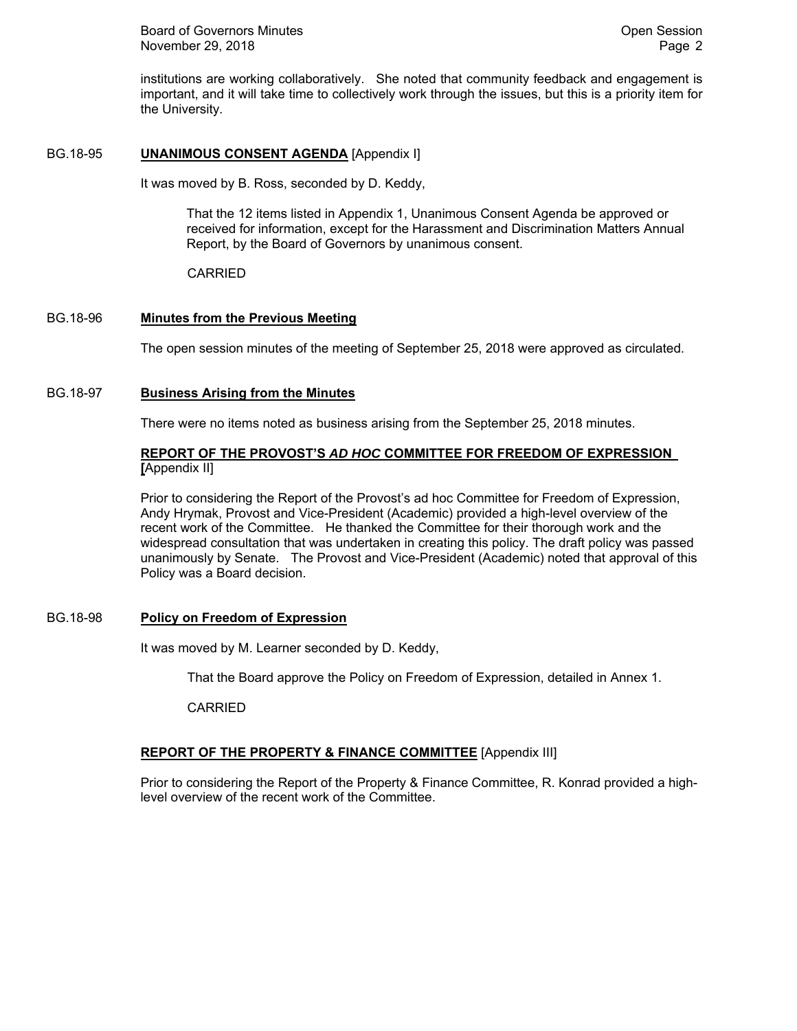institutions are working collaboratively. She noted that community feedback and engagement is important, and it will take time to collectively work through the issues, but this is a priority item for the University.

# BG.18-95 **UNANIMOUS CONSENT AGENDA** [Appendix I]

It was moved by B. Ross, seconded by D. Keddy,

That the 12 items listed in Appendix 1, Unanimous Consent Agenda be approved or received for information, except for the Harassment and Discrimination Matters Annual Report, by the Board of Governors by unanimous consent.

CARRIED

# BG.18-96 **Minutes from the Previous Meeting**

The open session minutes of the meeting of September 25, 2018 were approved as circulated.

# BG.18-97 **Business Arising from the Minutes**

There were no items noted as business arising from the September 25, 2018 minutes.

# **REPORT OF THE PROVOST'S** *AD HOC* **COMMITTEE FOR FREEDOM OF EXPRESSION [**Appendix II]

Prior to considering the Report of the Provost's ad hoc Committee for Freedom of Expression, Andy Hrymak, Provost and Vice-President (Academic) provided a high-level overview of the recent work of the Committee. He thanked the Committee for their thorough work and the widespread consultation that was undertaken in creating this policy. The draft policy was passed unanimously by Senate. The Provost and Vice-President (Academic) noted that approval of this Policy was a Board decision.

## BG.18-98 **Policy on Freedom of Expression**

It was moved by M. Learner seconded by D. Keddy,

That the Board approve the Policy on Freedom of Expression, detailed in Annex 1.

CARRIED

# **REPORT OF THE PROPERTY & FINANCE COMMITTEE** [Appendix III]

Prior to considering the Report of the Property & Finance Committee, R. Konrad provided a highlevel overview of the recent work of the Committee.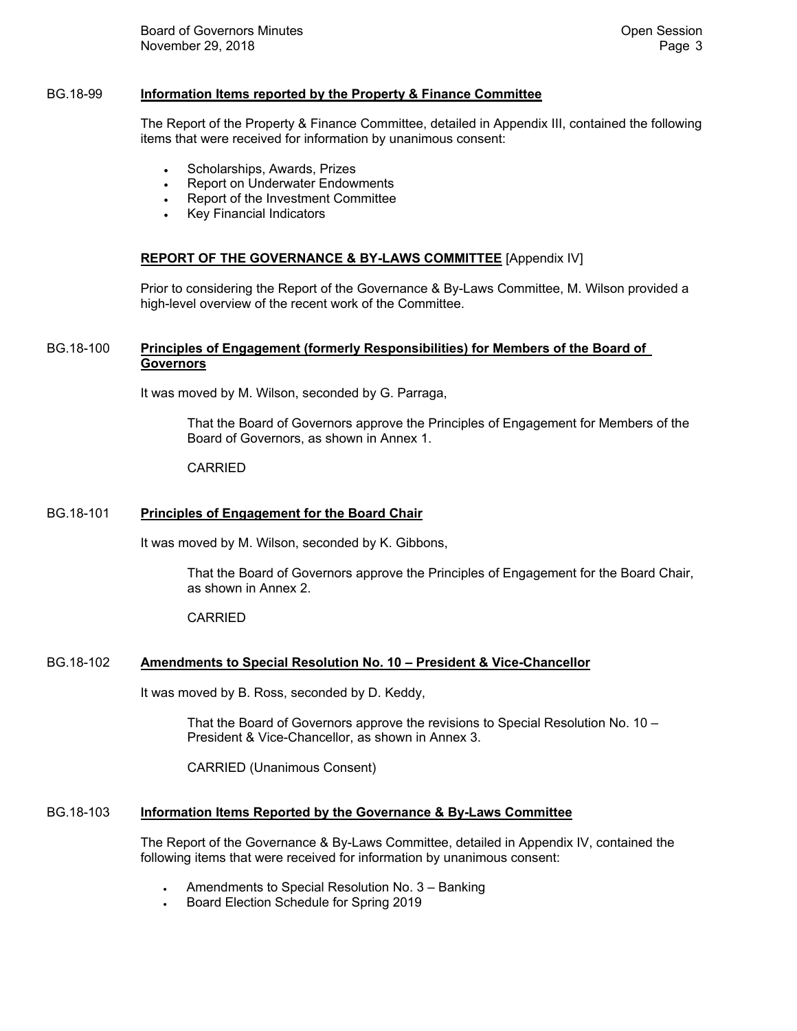## BG.18-99 **Information Items reported by the Property & Finance Committee**

The Report of the Property & Finance Committee, detailed in Appendix III, contained the following items that were received for information by unanimous consent:

- Scholarships, Awards, Prizes
- Report on Underwater Endowments
- Report of the Investment Committee
- Key Financial Indicators

### **REPORT OF THE GOVERNANCE & BY-LAWS COMMITTEE** [Appendix IV]

Prior to considering the Report of the Governance & By-Laws Committee, M. Wilson provided a high-level overview of the recent work of the Committee.

## BG.18-100 **Principles of Engagement (formerly Responsibilities) for Members of the Board of Governors**

It was moved by M. Wilson, seconded by G. Parraga,

That the Board of Governors approve the Principles of Engagement for Members of the Board of Governors, as shown in Annex 1.

#### CARRIED

### BG.18-101 **Principles of Engagement for the Board Chair**

It was moved by M. Wilson, seconded by K. Gibbons,

That the Board of Governors approve the Principles of Engagement for the Board Chair, as shown in Annex 2.

#### CARRIED

# BG.18-102 **Amendments to Special Resolution No. 10 – President & Vice-Chancellor**

It was moved by B. Ross, seconded by D. Keddy,

That the Board of Governors approve the revisions to Special Resolution No. 10 – President & Vice-Chancellor, as shown in Annex 3.

CARRIED (Unanimous Consent)

### BG.18-103 **Information Items Reported by the Governance & By-Laws Committee**

The Report of the Governance & By-Laws Committee, detailed in Appendix IV, contained the following items that were received for information by unanimous consent:

- Amendments to Special Resolution No. 3 Banking
- Board Election Schedule for Spring 2019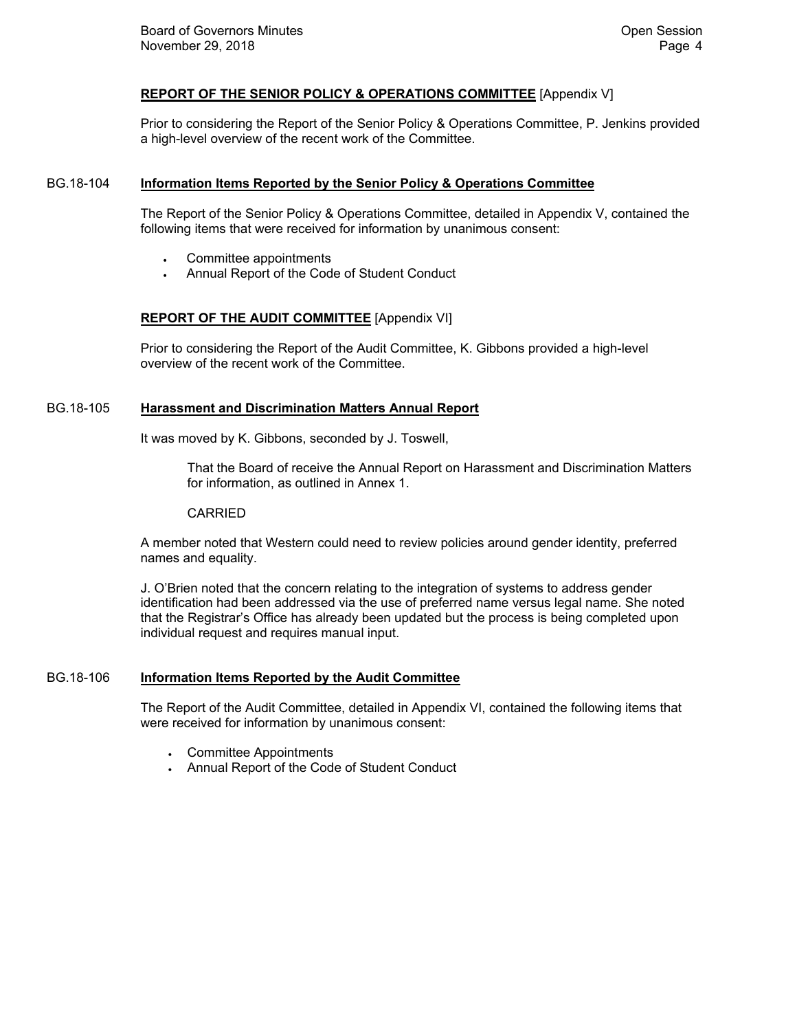## **REPORT OF THE SENIOR POLICY & OPERATIONS COMMITTEE** [Appendix V]

Prior to considering the Report of the Senior Policy & Operations Committee, P. Jenkins provided a high-level overview of the recent work of the Committee.

### BG.18-104 **Information Items Reported by the Senior Policy & Operations Committee**

The Report of the Senior Policy & Operations Committee, detailed in Appendix V, contained the following items that were received for information by unanimous consent:

- Committee appointments
- Annual Report of the Code of Student Conduct

# **REPORT OF THE AUDIT COMMITTEE** [Appendix VI]

Prior to considering the Report of the Audit Committee, K. Gibbons provided a high-level overview of the recent work of the Committee.

# BG.18-105 **Harassment and Discrimination Matters Annual Report**

It was moved by K. Gibbons, seconded by J. Toswell,

That the Board of receive the Annual Report on Harassment and Discrimination Matters for information, as outlined in Annex 1.

CARRIED

A member noted that Western could need to review policies around gender identity, preferred names and equality.

J. O'Brien noted that the concern relating to the integration of systems to address gender identification had been addressed via the use of preferred name versus legal name. She noted that the Registrar's Office has already been updated but the process is being completed upon individual request and requires manual input.

#### BG.18-106 **Information Items Reported by the Audit Committee**

The Report of the Audit Committee, detailed in Appendix VI, contained the following items that were received for information by unanimous consent:

- Committee Appointments
- Annual Report of the Code of Student Conduct